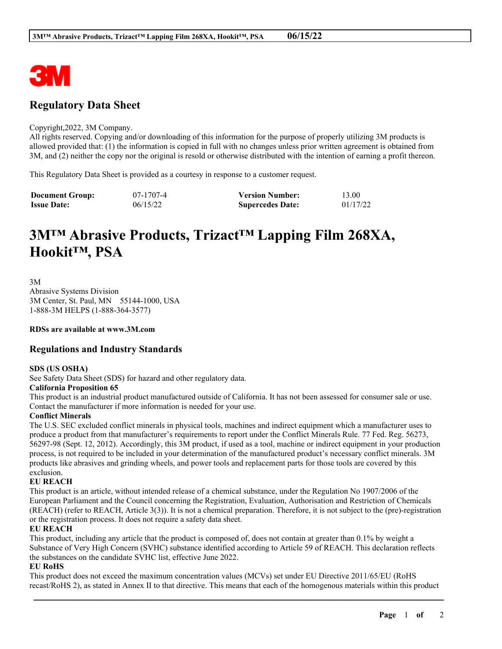

# **Regulatory Data Sheet**

#### Copyright,2022, 3M Company.

All rights reserved. Copying and/or downloading of this information for the purpose of properly utilizing 3M products is allowed provided that: (1) the information is copied in full with no changes unless prior written agreement is obtained from 3M, and (2) neither the copy nor the original is resold or otherwise distributed with the intention of earning a profit thereon.

This Regulatory Data Sheet is provided as a courtesy in response to a customer request.

| <b>Document Group:</b> | 07-1707-4 | <b>Version Number:</b>  | 13.00    |
|------------------------|-----------|-------------------------|----------|
| <b>Issue Date:</b>     | 06/15/22  | <b>Supercedes Date:</b> | 01/17/22 |

# **3M™ Abrasive Products, Trizact™ Lapping Film 268XA, Hookit™, PSA**

3M Abrasive Systems Division 3M Center, St. Paul, MN 55144-1000, USA 1-888-3M HELPS (1-888-364-3577)

**RDSs are available at www.3M.com**

# **Regulations and Industry Standards**

# **SDS (US OSHA)**

See Safety Data Sheet (SDS) for hazard and other regulatory data.

# **California Proposition 65**

This product is an industrial product manufactured outside of California. It has not been assessed for consumer sale or use. Contact the manufacturer if more information is needed for your use.

# **Conflict Minerals**

The U.S. SEC excluded conflict minerals in physical tools, machines and indirect equipment which a manufacturer uses to produce a product from that manufacturer's requirements to report under the Conflict Minerals Rule. 77 Fed. Reg. 56273, 56297-98 (Sept. 12, 2012). Accordingly, this 3M product, if used as a tool, machine or indirect equipment in your production process, is not required to be included in your determination of the manufactured product's necessary conflict minerals. 3M products like abrasives and grinding wheels, and power tools and replacement parts for those tools are covered by this exclusion.

# **EU REACH**

This product is an article, without intended release of a chemical substance, under the Regulation No 1907/2006 of the European Parliament and the Council concerning the Registration, Evaluation, Authorisation and Restriction of Chemicals (REACH) (refer to REACH, Article 3(3)). It is not a chemical preparation. Therefore, it is not subject to the (pre)-registration or the registration process. It does not require a safety data sheet.

# **EU REACH**

This product, including any article that the product is composed of, does not contain at greater than 0.1% by weight a Substance of Very High Concern (SVHC) substance identified according to Article 59 of REACH. This declaration reflects the substances on the candidate SVHC list, effective June 2022.

# **EU RoHS**

This product does not exceed the maximum concentration values (MCVs) set under EU Directive 2011/65/EU (RoHS recast/RoHS 2), as stated in Annex II to that directive. This means that each of the homogenous materials within this product

\_\_\_\_\_\_\_\_\_\_\_\_\_\_\_\_\_\_\_\_\_\_\_\_\_\_\_\_\_\_\_\_\_\_\_\_\_\_\_\_\_\_\_\_\_\_\_\_\_\_\_\_\_\_\_\_\_\_\_\_\_\_\_\_\_\_\_\_\_\_\_\_\_\_\_\_\_\_\_\_\_\_\_\_\_\_\_\_\_\_